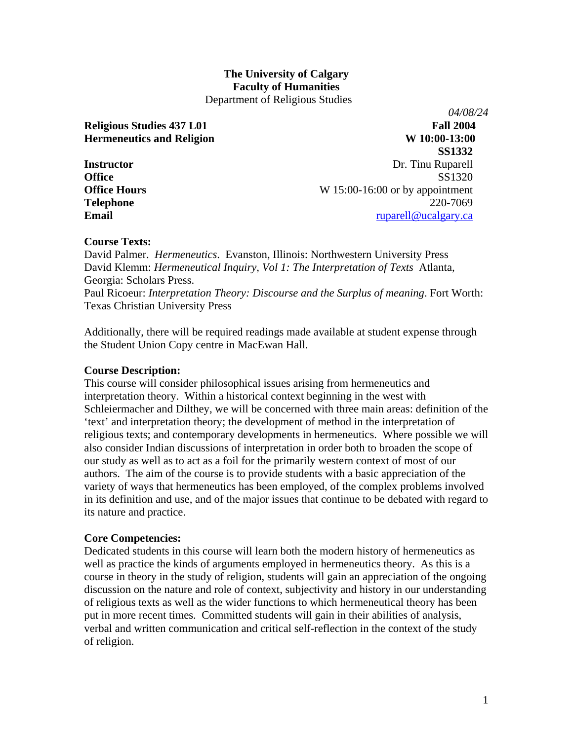### **The University of Calgary Faculty of Humanities**  Department of Religious Studies

*04/08/24*  **Religious Studies 437 L01** Fall 2004 **Hermeneutics and Religion** W 10:00-13:00 **SS1332 Instructor** Dr. Tinu Ruparell **Office** SS1320 **Office Hours** W 15:00-16:00 or by appointment **Telephone** 220-7069 **Email** [ruparell@ucalgary.ca](mailto:ruparell@ucalgary.ca)

## **Course Texts:**

David Palmer. *Hermeneutics*. Evanston, Illinois: Northwestern University Press David Klemm: *Hermeneutical Inquiry, Vol 1: The Interpretation of Texts* Atlanta, Georgia: Scholars Press.

Paul Ricoeur: *Interpretation Theory: Discourse and the Surplus of meaning*. Fort Worth: Texas Christian University Press

Additionally, there will be required readings made available at student expense through the Student Union Copy centre in MacEwan Hall.

## **Course Description:**

This course will consider philosophical issues arising from hermeneutics and interpretation theory. Within a historical context beginning in the west with Schleiermacher and Dilthey, we will be concerned with three main areas: definition of the 'text' and interpretation theory; the development of method in the interpretation of religious texts; and contemporary developments in hermeneutics. Where possible we will also consider Indian discussions of interpretation in order both to broaden the scope of our study as well as to act as a foil for the primarily western context of most of our authors. The aim of the course is to provide students with a basic appreciation of the variety of ways that hermeneutics has been employed, of the complex problems involved in its definition and use, and of the major issues that continue to be debated with regard to its nature and practice.

## **Core Competencies:**

Dedicated students in this course will learn both the modern history of hermeneutics as well as practice the kinds of arguments employed in hermeneutics theory. As this is a course in theory in the study of religion, students will gain an appreciation of the ongoing discussion on the nature and role of context, subjectivity and history in our understanding of religious texts as well as the wider functions to which hermeneutical theory has been put in more recent times. Committed students will gain in their abilities of analysis, verbal and written communication and critical self-reflection in the context of the study of religion.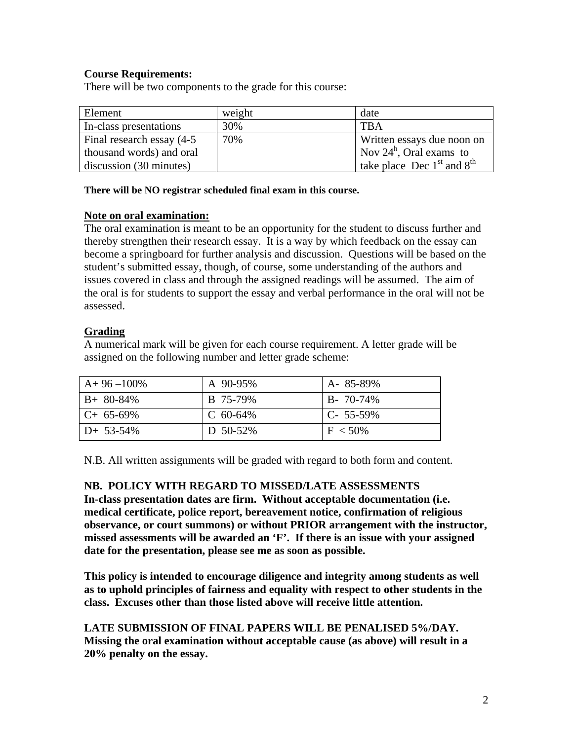# **Course Requirements:**

There will be two components to the grade for this course:

| Element                    | weight | date                           |
|----------------------------|--------|--------------------------------|
| In-class presentations     | 30%    | <b>TRA</b>                     |
| Final research essay (4-5) | 70%    | Written essays due noon on     |
| thousand words) and oral   |        | Nov $24^h$ , Oral exams to     |
| discussion (30 minutes)    |        | take place Dec $1st$ and $8th$ |

**There will be NO registrar scheduled final exam in this course.** 

# **Note on oral examination:**

The oral examination is meant to be an opportunity for the student to discuss further and thereby strengthen their research essay. It is a way by which feedback on the essay can become a springboard for further analysis and discussion. Questions will be based on the student's submitted essay, though, of course, some understanding of the authors and issues covered in class and through the assigned readings will be assumed. The aim of the oral is for students to support the essay and verbal performance in the oral will not be assessed.

# **Grading**

A numerical mark will be given for each course requirement. A letter grade will be assigned on the following number and letter grade scheme:

| $A+96-100\%$ | A 90-95%    | A-85-89%        |
|--------------|-------------|-----------------|
| $B+80-84%$   | B 75-79%    | $B - 70 - 74\%$ |
| $C+65-69\%$  | C $60-64\%$ | $C - 55 - 59\%$ |
| $D+ 53-54\%$ | D 50-52%    | $F < 50\%$      |

N.B. All written assignments will be graded with regard to both form and content.

# **NB. POLICY WITH REGARD TO MISSED/LATE ASSESSMENTS**

**In-class presentation dates are firm. Without acceptable documentation (i.e. medical certificate, police report, bereavement notice, confirmation of religious observance, or court summons) or without PRIOR arrangement with the instructor, missed assessments will be awarded an 'F'. If there is an issue with your assigned date for the presentation, please see me as soon as possible.** 

**This policy is intended to encourage diligence and integrity among students as well as to uphold principles of fairness and equality with respect to other students in the class. Excuses other than those listed above will receive little attention.** 

**LATE SUBMISSION OF FINAL PAPERS WILL BE PENALISED 5%/DAY. Missing the oral examination without acceptable cause (as above) will result in a 20% penalty on the essay.**